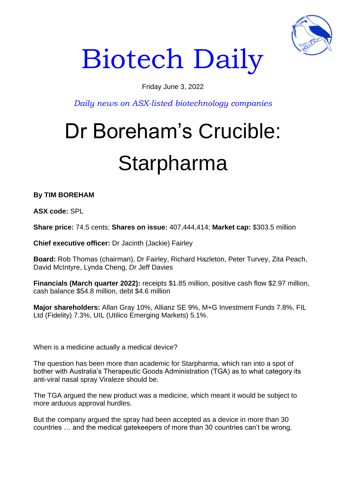

# Biotech Daily

### Friday June 3, 2022

*Daily news on ASX-listed biotechnology companies*

## Dr Boreham's Crucible: Starpharma

**By TIM BOREHAM** 

**ASX code:** SPL

**Share price:** 74.5 cents; **Shares on issue:** 407,444,414; **Market cap:** \$303.5 million

**Chief executive officer:** Dr Jacinth (Jackie) Fairley

**Board:** Rob Thomas (chairman), Dr Fairley, Richard Hazleton, Peter Turvey, Zita Peach, David McIntyre, Lynda Cheng, Dr Jeff Davies

**Financials (March quarter 2022):** receipts \$1.85 million, positive cash flow \$2.97 million, cash balance \$54.8 million, debt \$4.6 million

**Major shareholders:** Allan Gray 10%, Allianz SE 9%, M+G Investment Funds 7.8%, FIL Ltd (Fidelity) 7.3%, UIL (Utilico Emerging Markets) 5.1%.

When is a medicine actually a medical device?

The question has been more than academic for Starpharma, which ran into a spot of bother with Australia's Therapeutic Goods Administration (TGA) as to what category its anti-viral nasal spray Viraleze should be.

The TGA argued the new product was a medicine, which meant it would be subject to more arduous approval hurdles.

But the company argued the spray had been accepted as a device in more than 30 countries … and the medical gatekeepers of more than 30 countries can't be wrong.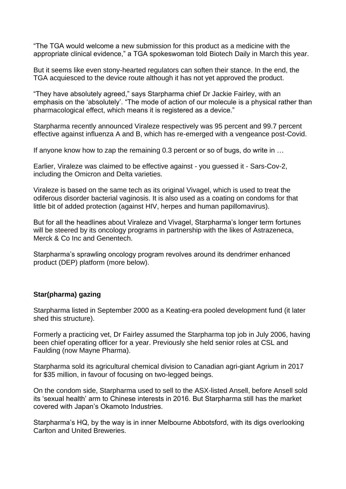"The TGA would welcome a new submission for this product as a medicine with the appropriate clinical evidence," a TGA spokeswoman told Biotech Daily in March this year.

But it seems like even stony-hearted regulators can soften their stance. In the end, the TGA acquiesced to the device route although it has not yet approved the product.

"They have absolutely agreed," says Starpharma chief Dr Jackie Fairley, with an emphasis on the 'absolutely'. "The mode of action of our molecule is a physical rather than pharmacological effect, which means it is registered as a device."

Starpharma recently announced Viraleze respectively was 95 percent and 99.7 percent effective against influenza A and B, which has re-emerged with a vengeance post-Covid.

If anyone know how to zap the remaining 0.3 percent or so of bugs, do write in …

Earlier, Viraleze was claimed to be effective against - you guessed it - Sars-Cov-2, including the Omicron and Delta varieties.

Viraleze is based on the same tech as its original Vivagel, which is used to treat the odiferous disorder bacterial vaginosis. It is also used as a coating on condoms for that little bit of added protection (against HIV, herpes and human papillomavirus).

But for all the headlines about Viraleze and Vivagel, Starpharma's longer term fortunes will be steered by its oncology programs in partnership with the likes of Astrazeneca, Merck & Co Inc and Genentech.

Starpharma's sprawling oncology program revolves around its dendrimer enhanced product (DEP) platform (more below).

#### **Star(pharma) gazing**

Starpharma listed in September 2000 as a Keating-era pooled development fund (it later shed this structure).

Formerly a practicing vet, Dr Fairley assumed the Starpharma top job in July 2006, having been chief operating officer for a year. Previously she held senior roles at CSL and Faulding (now Mayne Pharma).

Starpharma sold its agricultural chemical division to Canadian agri-giant Agrium in 2017 for \$35 million, in favour of focusing on two-legged beings.

On the condom side, Starpharma used to sell to the ASX-listed Ansell, before Ansell sold its 'sexual health' arm to Chinese interests in 2016. But Starpharma still has the market covered with Japan's Okamoto Industries.

Starpharma's HQ, by the way is in inner Melbourne Abbotsford, with its digs overlooking Carlton and United Breweries.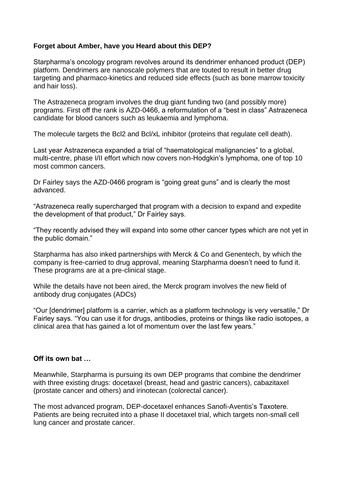#### **Forget about Amber, have you Heard about this DEP?**

Starpharma's oncology program revolves around its dendrimer enhanced product (DEP) platform. Dendrimers are nanoscale polymers that are touted to result in better drug targeting and pharmaco-kinetics and reduced side effects (such as bone marrow toxicity and hair loss).

The Astrazeneca program involves the drug giant funding two (and possibly more) programs. First off the rank is AZD-0466, a reformulation of a "best in class" Astrazeneca candidate for blood cancers such as leukaemia and lymphoma.

The molecule targets the Bcl2 and Bcl/xL inhibitor (proteins that regulate cell death).

Last year Astrazeneca expanded a trial of "haematological malignancies" to a global, multi-centre, phase I/II effort which now covers non-Hodgkin's lymphoma, one of top 10 most common cancers.

Dr Fairley says the AZD-0466 program is "going great guns" and is clearly the most advanced.

"Astrazeneca really supercharged that program with a decision to expand and expedite the development of that product," Dr Fairley says.

"They recently advised they will expand into some other cancer types which are not yet in the public domain."

Starpharma has also inked partnerships with Merck & Co and Genentech, by which the company is free-carried to drug approval, meaning Starpharma doesn't need to fund it. These programs are at a pre-clinical stage.

While the details have not been aired, the Merck program involves the new field of antibody drug conjugates (ADCs)

"Our [dendrimer] platform is a carrier, which as a platform technology is very versatile," Dr Fairley says. "You can use it for drugs, antibodies, proteins or things like radio isotopes, a clinical area that has gained a lot of momentum over the last few years."

#### **Off its own bat …**

Meanwhile, Starpharma is pursuing its own DEP programs that combine the dendrimer with three existing drugs: docetaxel (breast, head and gastric cancers), cabazitaxel (prostate cancer and others) and irinotecan (colorectal cancer).

The most advanced program, DEP-docetaxel enhances Sanofi-Aventis's Taxotere. Patients are being recruited into a phase II docetaxel trial, which targets non-small cell lung cancer and prostate cancer.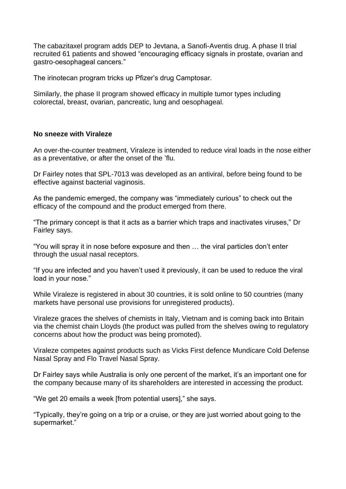The cabazitaxel program adds DEP to Jevtana, a Sanofi-Aventis drug. A phase II trial recruited 61 patients and showed "encouraging efficacy signals in prostate, ovarian and gastro-oesophageal cancers."

The irinotecan program tricks up Pfizer's drug Camptosar.

Similarly, the phase II program showed efficacy in multiple tumor types including colorectal, breast, ovarian, pancreatic, lung and oesophageal.

#### **No sneeze with Viraleze**

An over-the-counter treatment, Viraleze is intended to reduce viral loads in the nose either as a preventative, or after the onset of the 'flu.

Dr Fairley notes that SPL-7013 was developed as an antiviral, before being found to be effective against bacterial vaginosis.

As the pandemic emerged, the company was "immediately curious" to check out the efficacy of the compound and the product emerged from there.

"The primary concept is that it acts as a barrier which traps and inactivates viruses," Dr Fairley says.

"You will spray it in nose before exposure and then … the viral particles don't enter through the usual nasal receptors.

"If you are infected and you haven't used it previously, it can be used to reduce the viral load in your nose."

While Viraleze is registered in about 30 countries, it is sold online to 50 countries (many markets have personal use provisions for unregistered products).

Viraleze graces the shelves of chemists in Italy, Vietnam and is coming back into Britain via the chemist chain Lloyds (the product was pulled from the shelves owing to regulatory concerns about how the product was being promoted).

Viraleze competes against products such as Vicks First defence Mundicare Cold Defense Nasal Spray and Flo Travel Nasal Spray.

Dr Fairley says while Australia is only one percent of the market, it's an important one for the company because many of its shareholders are interested in accessing the product.

"We get 20 emails a week [from potential users]," she says.

"Typically, they're going on a trip or a cruise, or they are just worried about going to the supermarket."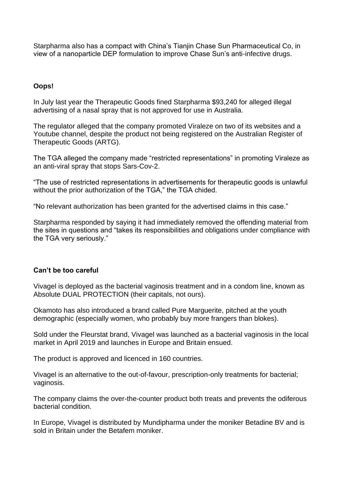Starpharma also has a compact with China's Tianjin Chase Sun Pharmaceutical Co, in view of a nanoparticle DEP formulation to improve Chase Sun's anti-infective drugs.

#### **Oops!**

In July last year the Therapeutic Goods fined Starpharma \$93,240 for alleged illegal advertising of a nasal spray that is not approved for use in Australia.

The regulator alleged that the company promoted Viraleze on two of its websites and a Youtube channel, despite the product not being registered on the Australian Register of Therapeutic Goods (ARTG).

The TGA alleged the company made "restricted representations" in promoting Viraleze as an anti-viral spray that stops Sars-Cov-2.

"The use of restricted representations in advertisements for therapeutic goods is unlawful without the prior authorization of the TGA," the TGA chided.

"No relevant authorization has been granted for the advertised claims in this case."

Starpharma responded by saying it had immediately removed the offending material from the sites in questions and "takes its responsibilities and obligations under compliance with the TGA very seriously."

#### **Can't be too careful**

Vivagel is deployed as the bacterial vaginosis treatment and in a condom line, known as Absolute DUAL PROTECTION (their capitals, not ours).

Okamoto has also introduced a brand called Pure Marguerite, pitched at the youth demographic (especially women, who probably buy more frangers than blokes).

Sold under the Fleurstat brand, Vivagel was launched as a bacterial vaginosis in the local market in April 2019 and launches in Europe and Britain ensued.

The product is approved and licenced in 160 countries.

Vivagel is an alternative to the out-of-favour, prescription-only treatments for bacterial; vaginosis.

The company claims the over-the-counter product both treats and prevents the odiferous bacterial condition.

In Europe, Vivagel is distributed by Mundipharma under the moniker Betadine BV and is sold in Britain under the Betafem moniker.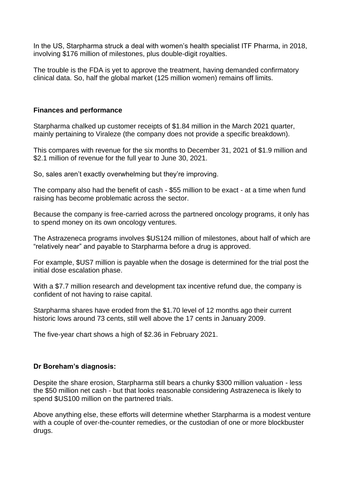In the US, Starpharma struck a deal with women's health specialist ITF Pharma, in 2018, involving \$176 million of milestones, plus double-digit royalties.

The trouble is the FDA is yet to approve the treatment, having demanded confirmatory clinical data. So, half the global market (125 million women) remains off limits.

#### **Finances and performance**

Starpharma chalked up customer receipts of \$1.84 million in the March 2021 quarter, mainly pertaining to Viraleze (the company does not provide a specific breakdown).

This compares with revenue for the six months to December 31, 2021 of \$1.9 million and \$2.1 million of revenue for the full year to June 30, 2021.

So, sales aren't exactly overwhelming but they're improving.

The company also had the benefit of cash - \$55 million to be exact - at a time when fund raising has become problematic across the sector.

Because the company is free-carried across the partnered oncology programs, it only has to spend money on its own oncology ventures.

The Astrazeneca programs involves \$US124 million of milestones, about half of which are "relatively near" and payable to Starpharma before a drug is approved.

For example, \$US7 million is payable when the dosage is determined for the trial post the initial dose escalation phase.

With a \$7.7 million research and development tax incentive refund due, the company is confident of not having to raise capital.

Starpharma shares have eroded from the \$1.70 level of 12 months ago their current historic lows around 73 cents, still well above the 17 cents in January 2009.

The five-year chart shows a high of \$2.36 in February 2021.

#### **Dr Boreham's diagnosis:**

Despite the share erosion, Starpharma still bears a chunky \$300 million valuation - less the \$50 million net cash - but that looks reasonable considering Astrazeneca is likely to spend \$US100 million on the partnered trials.

Above anything else, these efforts will determine whether Starpharma is a modest venture with a couple of over-the-counter remedies, or the custodian of one or more blockbuster drugs.